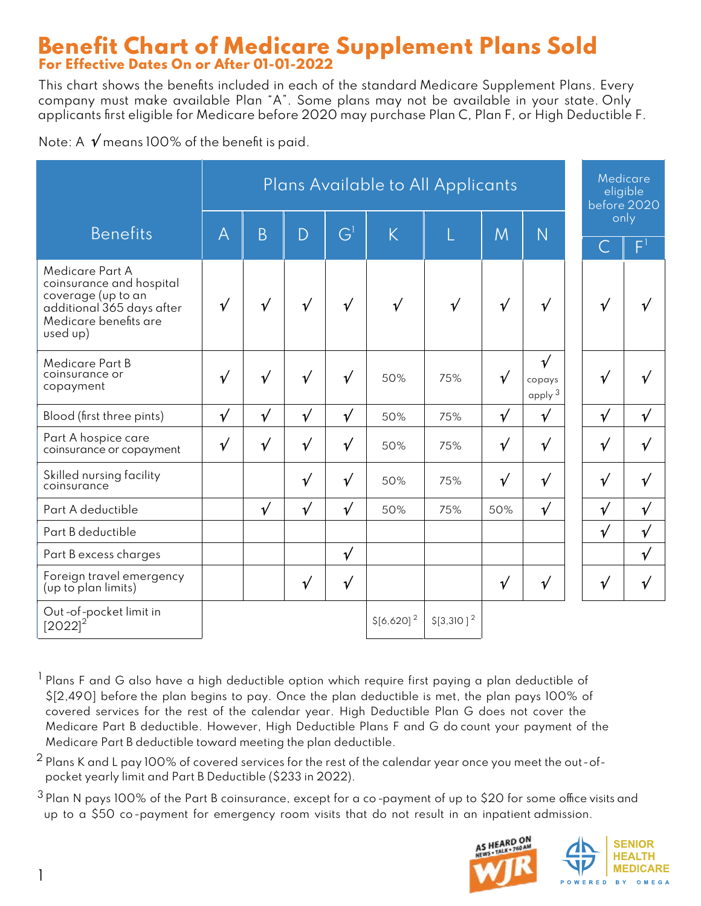#### Benefit Chart of Medicare Supplement Plans Sold For Effective Dates On or After 01-01-2022

This chart shows the benefits included in each of the standard Medicare Supplement Plans. Every company must make available Plan "A". Some plans may not be available in your state. Only applicants first eligible for Medicare before 2020 may purchase Plan C, Plan F, or High Deductible F.

Note: A  $\sqrt{}$  means 100% of the benefit is paid.

|                                                                                                                                     | Plans Available to All Applicants |            |            |                         |                |                |            | Medicare<br>eligible<br>before 2020  |           |              |             |
|-------------------------------------------------------------------------------------------------------------------------------------|-----------------------------------|------------|------------|-------------------------|----------------|----------------|------------|--------------------------------------|-----------|--------------|-------------|
| <b>Benefits</b>                                                                                                                     | $\overline{A}$                    | B          | D          | $\overline{\mathsf{G}}$ | K              | L              | M          |                                      | only<br>Ñ |              |             |
|                                                                                                                                     |                                   |            |            |                         |                |                |            |                                      |           | u,           | F           |
| Medicare Part A<br>coinsurance and hospital<br>coverage (up to an<br>additional 365 days after<br>Medicare benefits are<br>used up) | $\sqrt{ }$                        | $\sqrt{}$  | $\sqrt{ }$ | $\sqrt{}$               | $\sqrt{ }$     | $\sqrt{ }$     | $\sqrt{ }$ | $\sqrt{ }$                           |           | $\sqrt{ }$   |             |
| <b>Medicare Part B</b><br>coinsurance or<br>copayment                                                                               | $\sqrt{ }$                        | $\sqrt{}$  | $\sqrt{ }$ | $\sqrt{ }$              | 50%            | 75%            | $\sqrt{ }$ | $\sqrt{ }$<br>copays<br>apply $^3\,$ |           | $\mathbf v$  |             |
| Blood (first three pints)                                                                                                           | $\sqrt{ }$                        | $\sqrt{}$  | $\sqrt{}$  | $\sqrt{ }$              | 50%            | 75%            | $\sqrt{ }$ | $\sqrt{ }$                           |           | $\sqrt{ }$   | $\sqrt{ }$  |
| Part A hospice care<br>coinsurance or copayment                                                                                     | $\sqrt{ }$                        | $\sqrt{}$  | $\sqrt{ }$ | $\sqrt{ }$              | 50%            | 75%            | $\sqrt{ }$ | $\sqrt{ }$                           |           | $\sqrt{ }$   | $\mathbf v$ |
| Skilled nursing facility<br>coinsurance                                                                                             |                                   |            | $\sqrt{ }$ | $\sqrt{ }$              | 50%            | 75%            | $\sqrt{ }$ | $\sqrt{ }$                           |           | $\sqrt{ }$   | $\sqrt{ }$  |
| Part A deductible                                                                                                                   |                                   | $\sqrt{ }$ | $\sqrt{ }$ | $\sqrt{ }$              | 50%            | 75%            | 50%        | $\sqrt{ }$                           |           | $\mathbf v'$ | $\sqrt{ }$  |
| Part B deductible                                                                                                                   |                                   |            |            |                         |                |                |            |                                      |           | $\sqrt{}$    | $\sqrt{ }$  |
| Part B excess charges                                                                                                               |                                   |            |            | $\sqrt{ }$              |                |                |            |                                      |           |              | $\sqrt{ }$  |
| Foreign travel emergency<br>(up to plan limits)                                                                                     |                                   |            | $\sqrt{ }$ | $\sqrt{ }$              |                |                | $\sqrt{ }$ | $\sqrt{ }$                           |           | $\sqrt{ }$   | $\sqrt{ }$  |
| Out-of-pocket limit in<br>$[2022]^{2}$                                                                                              |                                   |            |            |                         | $$[6,620]^{2}$ | $$[3,310]^{2}$ |            |                                      |           |              |             |

- <sup>1</sup> Plans F and G also have a high deductible option which require first paying a plan deductible of \$[2,490] before the plan begins to pay. Once the plan deductible is met, the plan pays 100% of covered services for the rest of the calendar year. High Deductible Plan G does not cover the Medicare Part B deductible. However, High Deductible Plans F and G do count your payment of the Medicare Part B deductible toward meeting the plan deductible.
- $2$  Plans K and L pay 100% of covered services for the rest of the calendar year once you meet the out-ofpocket yearly limit and Part B Deductible (\$233 in 2022).
- $3$  Plan N pays 100% of the Part B coinsurance, except for a co-payment of up to \$20 for some office visits and up to a \$50 co -payment for emergency room visits that do not result in an inpatient admission.

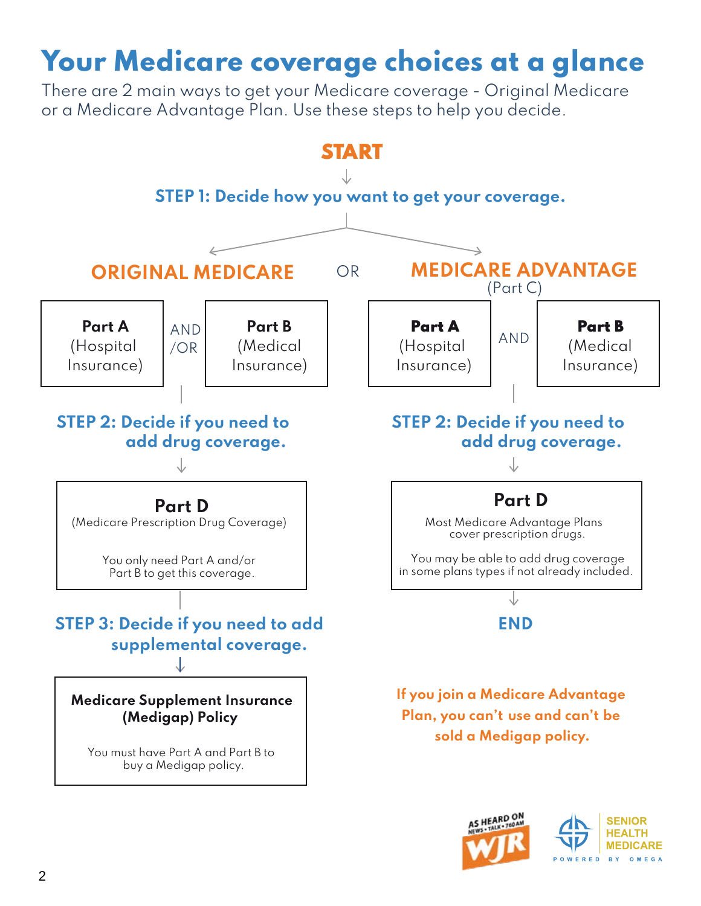## Your Medicare coverage choices at a glance

There are 2 main ways to get your Medicare coverage - Original Medicare or a Medicare Advantage Plan. Use these steps to help you decide.